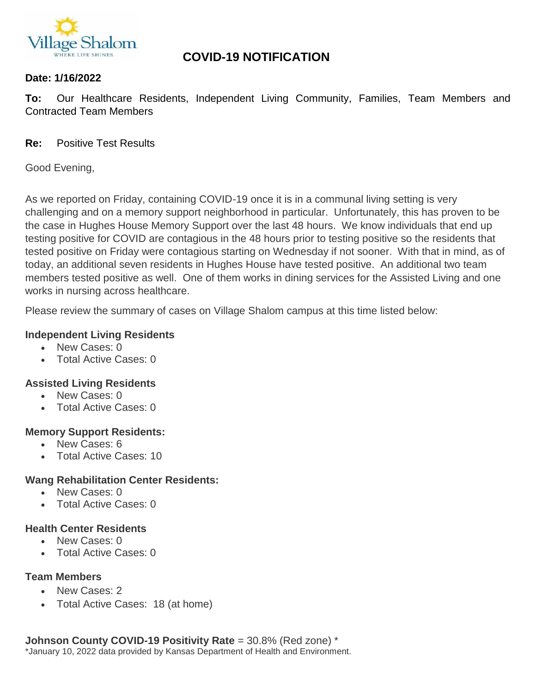

# **COVID-19 NOTIFICATION**

### **Date: 1/16/2022**

**To:** Our Healthcare Residents, Independent Living Community, Families, Team Members and Contracted Team Members

### **Re:** Positive Test Results

Good Evening,

As we reported on Friday, containing COVID-19 once it is in a communal living setting is very challenging and on a memory support neighborhood in particular. Unfortunately, this has proven to be the case in Hughes House Memory Support over the last 48 hours. We know individuals that end up testing positive for COVID are contagious in the 48 hours prior to testing positive so the residents that tested positive on Friday were contagious starting on Wednesday if not sooner. With that in mind, as of today, an additional seven residents in Hughes House have tested positive. An additional two team members tested positive as well. One of them works in dining services for the Assisted Living and one works in nursing across healthcare.

Please review the summary of cases on Village Shalom campus at this time listed below:

#### **Independent Living Residents**

- New Cases: 0
- Total Active Cases: 0

## **Assisted Living Residents**

- New Cases: 0
- Total Active Cases: 0

#### **Memory Support Residents:**

- New Cases: 6
- Total Active Cases: 10

## **Wang Rehabilitation Center Residents:**

- New Cases: 0
- Total Active Cases: 0

#### **Health Center Residents**

- New Cases: 0
- Total Active Cases: 0

#### **Team Members**

- New Cases: 2
- Total Active Cases: 18 (at home)

**Johnson County COVID-19 Positivity Rate** = 30.8% (Red zone) \* \*January 10, 2022 data provided by Kansas Department of Health and Environment.